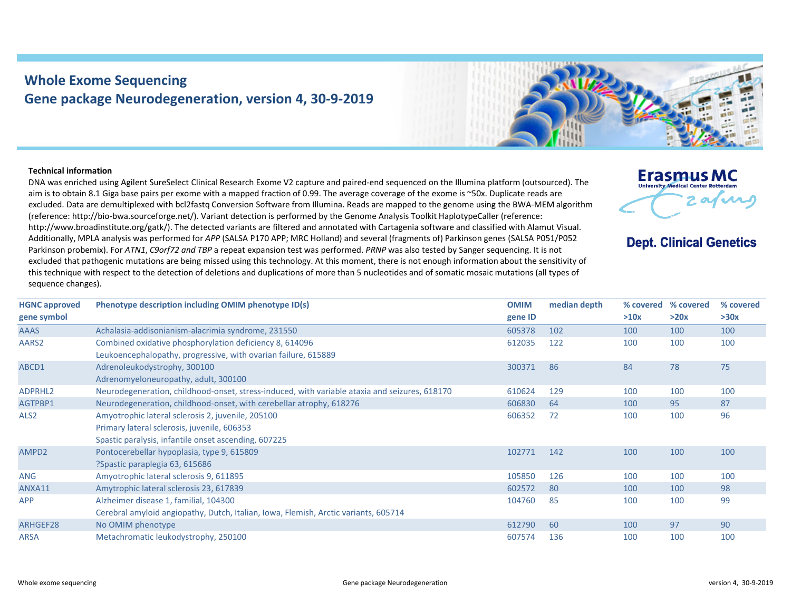## **Whole Exome Sequencing Gene package Neurodegeneration, version 4, 30‐9‐2019**



## **Technical information**

DNA was enriched using Agilent SureSelect Clinical Research Exome V2 capture and paired‐end sequenced on the Illumina platform (outsourced). The aim is to obtain 8.1 Giga base pairs per exome with a mapped fraction of 0.99. The average coverage of the exome is ~50x. Duplicate reads are excluded. Data are demultiplexed with bcl2fastq Conversion Software from Illumina. Reads are mapped to the genome using the BWA-MEM algorithm (reference: http://bio‐bwa.sourceforge.net/). Variant detection is performed by the Genome Analysis Toolkit HaplotypeCaller (reference: http://www.broadinstitute.org/gatk/). The detected variants are filtered and annotated with Cartagenia software and classified with Alamut Visual. Additionally, MPLA analysis was performed for *APP* (SALSA P170 APP; MRC Holland) and several (fragments of) Parkinson genes (SALSA P051/P052 Parkinson probemix). For *ATN1*, *C9orf72 and TBP* a repeat expansion test was performed. *PRNP* was also tested by Sanger sequencing. It is not excluded that pathogenic mutations are being missed using this technology. At this moment, there is not enough information about the sensitivity of this technique with respect to the detection of deletions and duplications of more than 5 nucleotides and of somatic mosaic mutations (all types of sequence changes).



**Dept. Clinical Genetics** 

| <b>HGNC approved</b> | Phenotype description including OMIM phenotype ID(s)                                          | <b>OMIM</b> | median depth | % covered | % covered | % covered |
|----------------------|-----------------------------------------------------------------------------------------------|-------------|--------------|-----------|-----------|-----------|
| gene symbol          |                                                                                               | gene ID     |              | >10x      | >20x      | >30x      |
| <b>AAAS</b>          | Achalasia-addisonianism-alacrimia syndrome, 231550                                            | 605378      | 102          | 100       | 100       | 100       |
| AARS2                | Combined oxidative phosphorylation deficiency 8, 614096                                       | 612035      | 122          | 100       | 100       | 100       |
|                      | Leukoencephalopathy, progressive, with ovarian failure, 615889                                |             |              |           |           |           |
| ABCD1                | Adrenoleukodystrophy, 300100                                                                  | 300371      | 86           | 84        | 78        | 75        |
|                      | Adrenomyeloneuropathy, adult, 300100                                                          |             |              |           |           |           |
| ADPRHL2              | Neurodegeneration, childhood-onset, stress-induced, with variable ataxia and seizures, 618170 | 610624      | 129          | 100       | 100       | 100       |
| AGTPBP1              | Neurodegeneration, childhood-onset, with cerebellar atrophy, 618276                           | 606830      | 64           | 100       | 95        | 87        |
| ALS <sub>2</sub>     | Amyotrophic lateral sclerosis 2, juvenile, 205100                                             | 606352      | 72           | 100       | 100       | 96        |
|                      | Primary lateral sclerosis, juvenile, 606353                                                   |             |              |           |           |           |
|                      | Spastic paralysis, infantile onset ascending, 607225                                          |             |              |           |           |           |
| AMPD2                | Pontocerebellar hypoplasia, type 9, 615809                                                    | 102771      | 142          | 100       | 100       | 100       |
|                      | ?Spastic paraplegia 63, 615686                                                                |             |              |           |           |           |
| <b>ANG</b>           | Amyotrophic lateral sclerosis 9, 611895                                                       | 105850      | 126          | 100       | 100       | 100       |
| ANXA11               | Amytrophic lateral sclerosis 23, 617839                                                       | 602572      | 80           | 100       | 100       | 98        |
| <b>APP</b>           | Alzheimer disease 1, familial, 104300                                                         | 104760      | 85           | 100       | 100       | 99        |
|                      | Cerebral amyloid angiopathy, Dutch, Italian, Iowa, Flemish, Arctic variants, 605714           |             |              |           |           |           |
| ARHGEF28             | No OMIM phenotype                                                                             | 612790      | 60           | 100       | 97        | 90        |
| <b>ARSA</b>          | Metachromatic leukodystrophy, 250100                                                          | 607574      | 136          | 100       | 100       | 100       |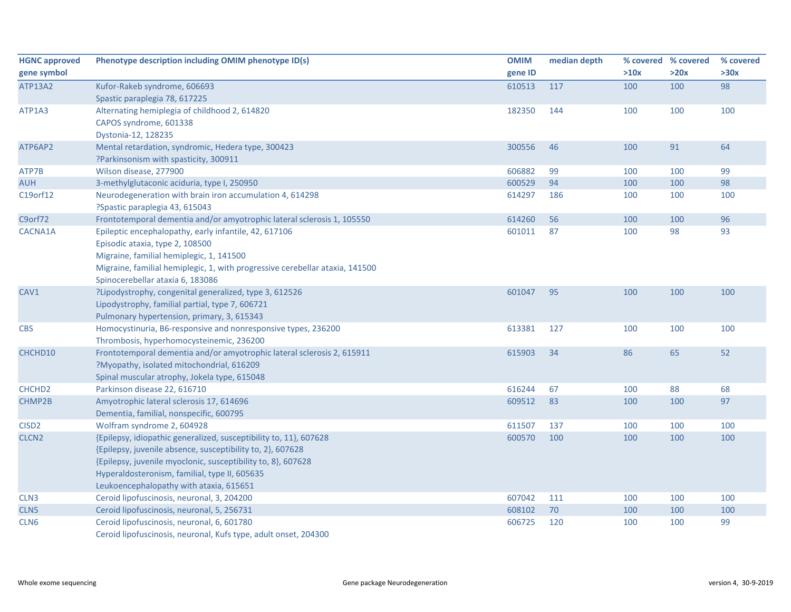| <b>HGNC approved</b> | Phenotype description including OMIM phenotype ID(s)                         | <b>OMIM</b> | median depth | % covered % covered |      | % covered |
|----------------------|------------------------------------------------------------------------------|-------------|--------------|---------------------|------|-----------|
| gene symbol          |                                                                              | gene ID     |              | >10x                | >20x | >30x      |
| ATP13A2              | Kufor-Rakeb syndrome, 606693                                                 | 610513      | 117          | 100                 | 100  | 98        |
|                      | Spastic paraplegia 78, 617225                                                |             |              |                     |      |           |
| ATP1A3               | Alternating hemiplegia of childhood 2, 614820                                | 182350      | 144          | 100                 | 100  | 100       |
|                      | CAPOS syndrome, 601338                                                       |             |              |                     |      |           |
|                      | Dystonia-12, 128235                                                          |             |              |                     |      |           |
| ATP6AP2              | Mental retardation, syndromic, Hedera type, 300423                           | 300556      | 46           | 100                 | 91   | 64        |
|                      | ?Parkinsonism with spasticity, 300911                                        |             |              |                     |      |           |
| ATP7B                | Wilson disease, 277900                                                       | 606882      | 99           | 100                 | 100  | 99        |
| <b>AUH</b>           | 3-methylglutaconic aciduria, type I, 250950                                  | 600529      | 94           | 100                 | 100  | 98        |
| C19orf12             | Neurodegeneration with brain iron accumulation 4, 614298                     | 614297      | 186          | 100                 | 100  | 100       |
|                      | ?Spastic paraplegia 43, 615043                                               |             |              |                     |      |           |
| C9orf72              | Frontotemporal dementia and/or amyotrophic lateral sclerosis 1, 105550       | 614260      | 56           | 100                 | 100  | 96        |
| CACNA1A              | Epileptic encephalopathy, early infantile, 42, 617106                        | 601011      | 87           | 100                 | 98   | 93        |
|                      | Episodic ataxia, type 2, 108500                                              |             |              |                     |      |           |
|                      | Migraine, familial hemiplegic, 1, 141500                                     |             |              |                     |      |           |
|                      | Migraine, familial hemiplegic, 1, with progressive cerebellar ataxia, 141500 |             |              |                     |      |           |
|                      | Spinocerebellar ataxia 6, 183086                                             |             |              |                     |      |           |
| CAV1                 | ?Lipodystrophy, congenital generalized, type 3, 612526                       | 601047      | 95           | 100                 | 100  | 100       |
|                      | Lipodystrophy, familial partial, type 7, 606721                              |             |              |                     |      |           |
|                      | Pulmonary hypertension, primary, 3, 615343                                   |             |              |                     |      |           |
| <b>CBS</b>           | Homocystinuria, B6-responsive and nonresponsive types, 236200                | 613381      | 127          | 100                 | 100  | 100       |
|                      | Thrombosis, hyperhomocysteinemic, 236200                                     |             |              |                     |      |           |
| CHCHD10              | Frontotemporal dementia and/or amyotrophic lateral sclerosis 2, 615911       | 615903      | 34           | 86                  | 65   | 52        |
|                      | ?Myopathy, isolated mitochondrial, 616209                                    |             |              |                     |      |           |
|                      | Spinal muscular atrophy, Jokela type, 615048                                 |             |              |                     |      |           |
| CHCHD <sub>2</sub>   | Parkinson disease 22, 616710                                                 | 616244      | 67           | 100                 | 88   | 68        |
| CHMP2B               | Amyotrophic lateral sclerosis 17, 614696                                     | 609512      | 83           | 100                 | 100  | 97        |
|                      | Dementia, familial, nonspecific, 600795                                      |             |              |                     |      |           |
| CISD <sub>2</sub>    | Wolfram syndrome 2, 604928                                                   | 611507      | 137          | 100                 | 100  | 100       |
| CLCN <sub>2</sub>    | {Epilepsy, idiopathic generalized, susceptibility to, 11}, 607628            | 600570      | 100          | 100                 | 100  | 100       |
|                      | {Epilepsy, juvenile absence, susceptibility to, 2}, 607628                   |             |              |                     |      |           |
|                      | {Epilepsy, juvenile myoclonic, susceptibility to, 8}, 607628                 |             |              |                     |      |           |
|                      | Hyperaldosteronism, familial, type II, 605635                                |             |              |                     |      |           |
|                      | Leukoencephalopathy with ataxia, 615651                                      |             |              |                     |      |           |
| CLN <sub>3</sub>     | Ceroid lipofuscinosis, neuronal, 3, 204200                                   | 607042      | 111          | 100                 | 100  | 100       |
| CLN5                 | Ceroid lipofuscinosis, neuronal, 5, 256731                                   | 608102      | 70           | 100                 | 100  | 100       |
| CLN6                 | Ceroid lipofuscinosis, neuronal, 6, 601780                                   | 606725      | 120          | 100                 | 100  | 99        |
|                      | Ceroid lipofuscinosis, neuronal, Kufs type, adult onset, 204300              |             |              |                     |      |           |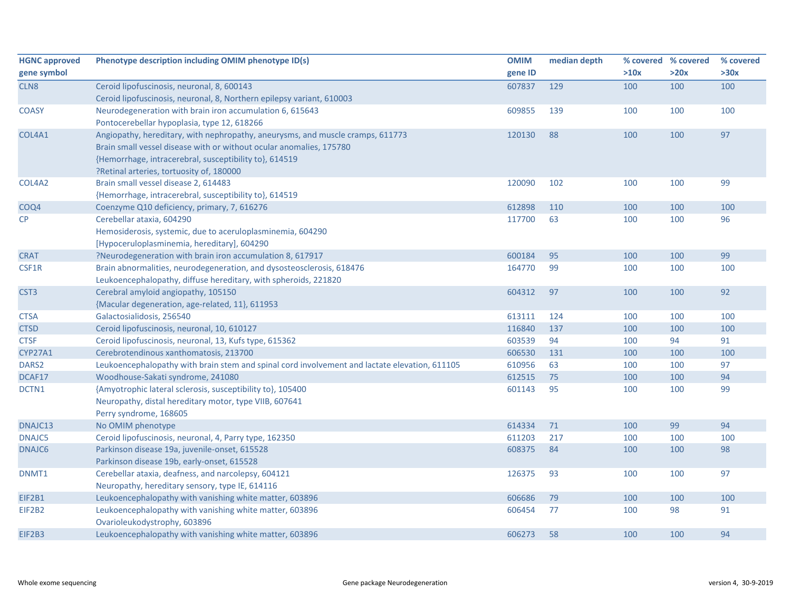| <b>HGNC approved</b> | Phenotype description including OMIM phenotype ID(s)                                          | <b>OMIM</b> | median depth |      | % covered % covered | % covered |
|----------------------|-----------------------------------------------------------------------------------------------|-------------|--------------|------|---------------------|-----------|
| gene symbol          |                                                                                               | gene ID     |              | >10x | >20x                | >30x      |
| CLN8                 | Ceroid lipofuscinosis, neuronal, 8, 600143                                                    | 607837      | 129          | 100  | 100                 | 100       |
|                      | Ceroid lipofuscinosis, neuronal, 8, Northern epilepsy variant, 610003                         |             |              |      |                     |           |
| <b>COASY</b>         | Neurodegeneration with brain iron accumulation 6, 615643                                      | 609855      | 139          | 100  | 100                 | 100       |
|                      | Pontocerebellar hypoplasia, type 12, 618266                                                   |             |              |      |                     |           |
| COL4A1               | Angiopathy, hereditary, with nephropathy, aneurysms, and muscle cramps, 611773                | 120130      | 88           | 100  | 100                 | 97        |
|                      | Brain small vessel disease with or without ocular anomalies, 175780                           |             |              |      |                     |           |
|                      | {Hemorrhage, intracerebral, susceptibility to}, 614519                                        |             |              |      |                     |           |
|                      | ?Retinal arteries, tortuosity of, 180000                                                      |             |              |      |                     |           |
| COL4A2               | Brain small vessel disease 2, 614483                                                          | 120090      | 102          | 100  | 100                 | 99        |
|                      | {Hemorrhage, intracerebral, susceptibility to}, 614519                                        |             |              |      |                     |           |
| COQ4                 | Coenzyme Q10 deficiency, primary, 7, 616276                                                   | 612898      | 110          | 100  | 100                 | 100       |
| CP                   | Cerebellar ataxia, 604290                                                                     | 117700      | 63           | 100  | 100                 | 96        |
|                      | Hemosiderosis, systemic, due to aceruloplasminemia, 604290                                    |             |              |      |                     |           |
|                      | [Hypoceruloplasminemia, hereditary], 604290                                                   |             |              |      |                     |           |
| <b>CRAT</b>          | ?Neurodegeneration with brain iron accumulation 8, 617917                                     | 600184      | 95           | 100  | 100                 | 99        |
| CSF1R                | Brain abnormalities, neurodegeneration, and dysosteosclerosis, 618476                         | 164770      | 99           | 100  | 100                 | 100       |
|                      | Leukoencephalopathy, diffuse hereditary, with spheroids, 221820                               |             |              |      |                     |           |
| CST <sub>3</sub>     | Cerebral amyloid angiopathy, 105150                                                           | 604312      | 97           | 100  | 100                 | 92        |
|                      | {Macular degeneration, age-related, 11}, 611953                                               |             |              |      |                     |           |
| <b>CTSA</b>          | Galactosialidosis, 256540                                                                     | 613111      | 124          | 100  | 100                 | 100       |
| <b>CTSD</b>          | Ceroid lipofuscinosis, neuronal, 10, 610127                                                   | 116840      | 137          | 100  | 100                 | 100       |
| <b>CTSF</b>          | Ceroid lipofuscinosis, neuronal, 13, Kufs type, 615362                                        | 603539      | 94           | 100  | 94                  | 91        |
| <b>CYP27A1</b>       | Cerebrotendinous xanthomatosis, 213700                                                        | 606530      | 131          | 100  | 100                 | 100       |
| DARS2                | Leukoencephalopathy with brain stem and spinal cord involvement and lactate elevation, 611105 | 610956      | 63           | 100  | 100                 | 97        |
| DCAF17               | Woodhouse-Sakati syndrome, 241080                                                             | 612515      | 75           | 100  | 100                 | 94        |
| DCTN1                | {Amyotrophic lateral sclerosis, susceptibility to}, 105400                                    | 601143      | 95           | 100  | 100                 | 99        |
|                      | Neuropathy, distal hereditary motor, type VIIB, 607641                                        |             |              |      |                     |           |
|                      | Perry syndrome, 168605                                                                        |             |              |      |                     |           |
| DNAJC13              | No OMIM phenotype                                                                             | 614334      | 71           | 100  | 99                  | 94        |
| DNAJC5               | Ceroid lipofuscinosis, neuronal, 4, Parry type, 162350                                        | 611203      | 217          | 100  | 100                 | 100       |
| DNAJC6               | Parkinson disease 19a, juvenile-onset, 615528                                                 | 608375      | 84           | 100  | 100                 | 98        |
|                      | Parkinson disease 19b, early-onset, 615528                                                    |             |              |      |                     |           |
| DNMT1                | Cerebellar ataxia, deafness, and narcolepsy, 604121                                           | 126375      | 93           | 100  | 100                 | 97        |
|                      | Neuropathy, hereditary sensory, type IE, 614116                                               |             |              |      |                     |           |
| EIF2B1               | Leukoencephalopathy with vanishing white matter, 603896                                       | 606686      | 79           | 100  | 100                 | 100       |
| EIF2B2               | Leukoencephalopathy with vanishing white matter, 603896                                       | 606454      | 77           | 100  | 98                  | 91        |
|                      | Ovarioleukodystrophy, 603896                                                                  |             |              |      |                     |           |
| EIF2B3               | Leukoencephalopathy with vanishing white matter, 603896                                       | 606273      | 58           | 100  | 100                 | 94        |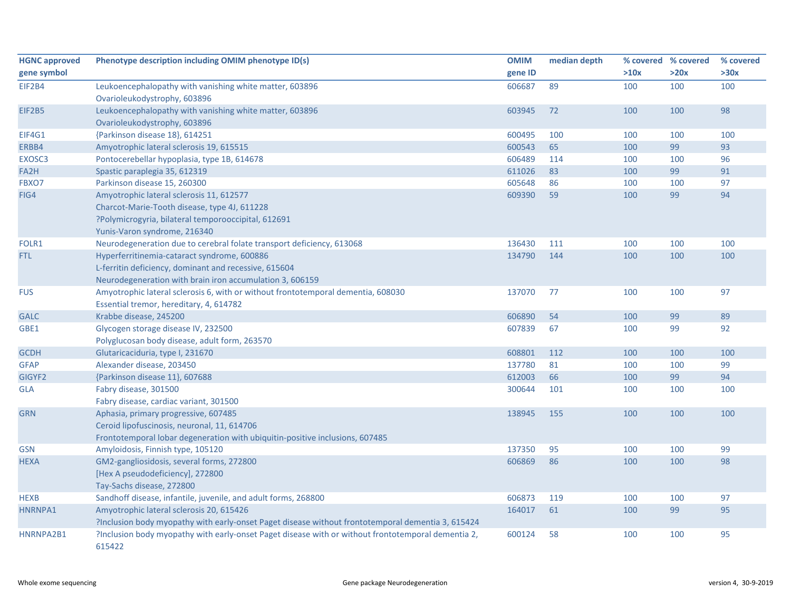| <b>HGNC approved</b> | Phenotype description including OMIM phenotype ID(s)                                               | <b>OMIM</b> | median depth |      | % covered % covered | % covered |
|----------------------|----------------------------------------------------------------------------------------------------|-------------|--------------|------|---------------------|-----------|
| gene symbol          |                                                                                                    | gene ID     |              | >10x | >20x                | >30x      |
| EIF2B4               | Leukoencephalopathy with vanishing white matter, 603896                                            | 606687      | 89           | 100  | 100                 | 100       |
|                      | Ovarioleukodystrophy, 603896                                                                       |             |              |      |                     |           |
| <b>EIF2B5</b>        | Leukoencephalopathy with vanishing white matter, 603896                                            | 603945      | 72           | 100  | 100                 | 98        |
|                      | Ovarioleukodystrophy, 603896                                                                       |             |              |      |                     |           |
| EIF4G1               | {Parkinson disease 18}, 614251                                                                     | 600495      | 100          | 100  | 100                 | 100       |
| ERBB4                | Amyotrophic lateral sclerosis 19, 615515                                                           | 600543      | 65           | 100  | 99                  | 93        |
| EXOSC <sub>3</sub>   | Pontocerebellar hypoplasia, type 1B, 614678                                                        | 606489      | 114          | 100  | 100                 | 96        |
| FA2H                 | Spastic paraplegia 35, 612319                                                                      | 611026      | 83           | 100  | 99                  | 91        |
| FBXO7                | Parkinson disease 15, 260300                                                                       | 605648      | 86           | 100  | 100                 | 97        |
| FIG4                 | Amyotrophic lateral sclerosis 11, 612577                                                           | 609390      | 59           | 100  | 99                  | 94        |
|                      | Charcot-Marie-Tooth disease, type 4J, 611228                                                       |             |              |      |                     |           |
|                      | ?Polymicrogyria, bilateral temporooccipital, 612691                                                |             |              |      |                     |           |
|                      | Yunis-Varon syndrome, 216340                                                                       |             |              |      |                     |           |
| FOLR1                | Neurodegeneration due to cerebral folate transport deficiency, 613068                              | 136430      | 111          | 100  | 100                 | 100       |
| FTL                  | Hyperferritinemia-cataract syndrome, 600886                                                        | 134790      | 144          | 100  | 100                 | 100       |
|                      | L-ferritin deficiency, dominant and recessive, 615604                                              |             |              |      |                     |           |
|                      | Neurodegeneration with brain iron accumulation 3, 606159                                           |             |              |      |                     |           |
| <b>FUS</b>           | Amyotrophic lateral sclerosis 6, with or without frontotemporal dementia, 608030                   | 137070      | 77           | 100  | 100                 | 97        |
|                      | Essential tremor, hereditary, 4, 614782                                                            |             |              |      |                     |           |
| <b>GALC</b>          | Krabbe disease, 245200                                                                             | 606890      | 54           | 100  | 99                  | 89        |
| GBE1                 | Glycogen storage disease IV, 232500                                                                | 607839      | 67           | 100  | 99                  | 92        |
|                      | Polyglucosan body disease, adult form, 263570                                                      |             |              |      |                     |           |
| <b>GCDH</b>          | Glutaricaciduria, type I, 231670                                                                   | 608801      | 112          | 100  | 100                 | 100       |
| <b>GFAP</b>          | Alexander disease, 203450                                                                          | 137780      | 81           | 100  | 100                 | 99        |
| GIGYF2               | {Parkinson disease 11}, 607688                                                                     | 612003      | 66           | 100  | 99                  | 94        |
| <b>GLA</b>           | Fabry disease, 301500                                                                              | 300644      | 101          | 100  | 100                 | 100       |
|                      | Fabry disease, cardiac variant, 301500                                                             |             |              |      |                     |           |
| <b>GRN</b>           | Aphasia, primary progressive, 607485                                                               | 138945      | 155          | 100  | 100                 | 100       |
|                      | Ceroid lipofuscinosis, neuronal, 11, 614706                                                        |             |              |      |                     |           |
|                      | Frontotemporal lobar degeneration with ubiquitin-positive inclusions, 607485                       |             |              |      |                     |           |
| <b>GSN</b>           | Amyloidosis, Finnish type, 105120                                                                  | 137350      | 95           | 100  | 100                 | 99        |
| <b>HEXA</b>          | GM2-gangliosidosis, several forms, 272800                                                          | 606869      | 86           | 100  | 100                 | 98        |
|                      | [Hex A pseudodeficiency], 272800                                                                   |             |              |      |                     |           |
|                      | Tay-Sachs disease, 272800                                                                          |             |              |      |                     |           |
| <b>HEXB</b>          | Sandhoff disease, infantile, juvenile, and adult forms, 268800                                     | 606873      | 119          | 100  | 100                 | 97        |
| HNRNPA1              | Amyotrophic lateral sclerosis 20, 615426                                                           | 164017      | 61           | 100  | 99                  | 95        |
|                      | ?Inclusion body myopathy with early-onset Paget disease without frontotemporal dementia 3, 615424  |             |              |      |                     |           |
| HNRNPA2B1            | ?Inclusion body myopathy with early-onset Paget disease with or without frontotemporal dementia 2, | 600124      | 58           | 100  | 100                 | 95        |
|                      | 615422                                                                                             |             |              |      |                     |           |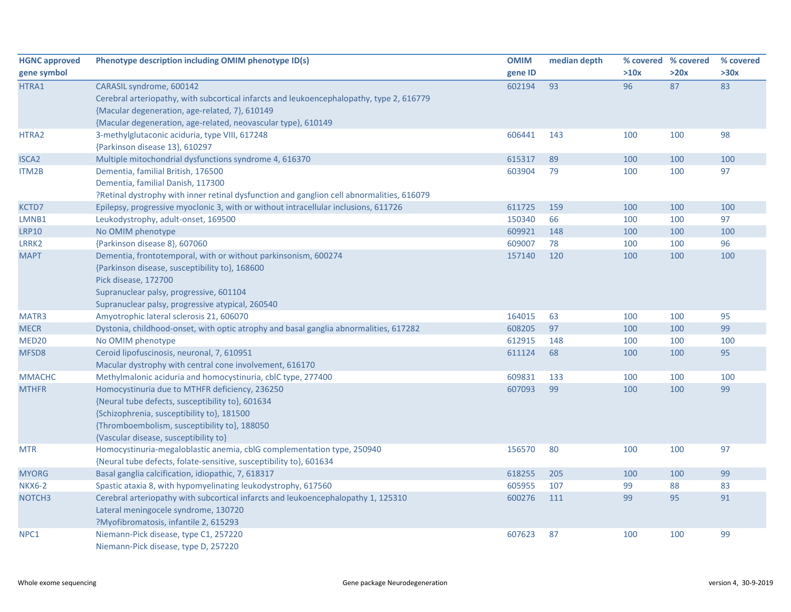| <b>HGNC approved</b> | Phenotype description including OMIM phenotype ID(s)                                      | <b>OMIM</b> | median depth |      | % covered % covered | % covered |
|----------------------|-------------------------------------------------------------------------------------------|-------------|--------------|------|---------------------|-----------|
| gene symbol          |                                                                                           | gene ID     |              | >10x | >20x                | >30x      |
| HTRA1                | CARASIL syndrome, 600142                                                                  | 602194      | 93           | 96   | 87                  | 83        |
|                      | Cerebral arteriopathy, with subcortical infarcts and leukoencephalopathy, type 2, 616779  |             |              |      |                     |           |
|                      | {Macular degeneration, age-related, 7}, 610149                                            |             |              |      |                     |           |
|                      | {Macular degeneration, age-related, neovascular type}, 610149                             |             |              |      |                     |           |
| HTRA2                | 3-methylglutaconic aciduria, type VIII, 617248                                            | 606441      | 143          | 100  | 100                 | 98        |
|                      | {Parkinson disease 13}, 610297                                                            |             |              |      |                     |           |
| <b>ISCA2</b>         | Multiple mitochondrial dysfunctions syndrome 4, 616370                                    | 615317      | 89           | 100  | 100                 | 100       |
| ITM2B                | Dementia, familial British, 176500                                                        | 603904      | 79           | 100  | 100                 | 97        |
|                      | Dementia, familial Danish, 117300                                                         |             |              |      |                     |           |
|                      | ?Retinal dystrophy with inner retinal dysfunction and ganglion cell abnormalities, 616079 |             |              |      |                     |           |
| KCTD7                | Epilepsy, progressive myoclonic 3, with or without intracellular inclusions, 611726       | 611725      | 159          | 100  | 100                 | 100       |
| LMNB1                | Leukodystrophy, adult-onset, 169500                                                       | 150340      | 66           | 100  | 100                 | 97        |
| <b>LRP10</b>         | No OMIM phenotype                                                                         | 609921      | 148          | 100  | 100                 | 100       |
| LRRK2                | {Parkinson disease 8}, 607060                                                             | 609007      | 78           | 100  | 100                 | 96        |
| <b>MAPT</b>          | Dementia, frontotemporal, with or without parkinsonism, 600274                            | 157140      | 120          | 100  | 100                 | 100       |
|                      | {Parkinson disease, susceptibility to}, 168600                                            |             |              |      |                     |           |
|                      | Pick disease, 172700                                                                      |             |              |      |                     |           |
|                      | Supranuclear palsy, progressive, 601104                                                   |             |              |      |                     |           |
|                      | Supranuclear palsy, progressive atypical, 260540                                          |             |              |      |                     |           |
| MATR3                | Amyotrophic lateral sclerosis 21, 606070                                                  | 164015      | 63           | 100  | 100                 | 95        |
| <b>MECR</b>          | Dystonia, childhood-onset, with optic atrophy and basal ganglia abnormalities, 617282     | 608205      | 97           | 100  | 100                 | 99        |
| MED <sub>20</sub>    | No OMIM phenotype                                                                         | 612915      | 148          | 100  | 100                 | 100       |
| MFSD <sub>8</sub>    | Ceroid lipofuscinosis, neuronal, 7, 610951                                                | 611124      | 68           | 100  | 100                 | 95        |
|                      | Macular dystrophy with central cone involvement, 616170                                   |             |              |      |                     |           |
| <b>MMACHC</b>        | Methylmalonic aciduria and homocystinuria, cblC type, 277400                              | 609831      | 133          | 100  | 100                 | 100       |
| <b>MTHFR</b>         | Homocystinuria due to MTHFR deficiency, 236250                                            | 607093      | 99           | 100  | 100                 | 99        |
|                      | {Neural tube defects, susceptibility to}, 601634                                          |             |              |      |                     |           |
|                      | {Schizophrenia, susceptibility to}, 181500                                                |             |              |      |                     |           |
|                      | {Thromboembolism, susceptibility to}, 188050                                              |             |              |      |                     |           |
|                      | {Vascular disease, susceptibility to}                                                     |             |              |      |                     |           |
| <b>MTR</b>           | Homocystinuria-megaloblastic anemia, cblG complementation type, 250940                    | 156570      | 80           | 100  | 100                 | 97        |
|                      | {Neural tube defects, folate-sensitive, susceptibility to}, 601634                        |             |              |      |                     |           |
| <b>MYORG</b>         | Basal ganglia calcification, idiopathic, 7, 618317                                        | 618255      | 205          | 100  | 100                 | 99        |
| <b>NKX6-2</b>        | Spastic ataxia 8, with hypomyelinating leukodystrophy, 617560                             | 605955      | 107          | 99   | 88                  | 83        |
| NOTCH <sub>3</sub>   | Cerebral arteriopathy with subcortical infarcts and leukoencephalopathy 1, 125310         | 600276      | 111          | 99   | 95                  | 91        |
|                      | Lateral meningocele syndrome, 130720                                                      |             |              |      |                     |           |
|                      | ?Myofibromatosis, infantile 2, 615293                                                     |             |              |      |                     |           |
| NPC1                 | Niemann-Pick disease, type C1, 257220                                                     | 607623      | 87           | 100  | 100                 | 99        |
|                      | Niemann-Pick disease, type D, 257220                                                      |             |              |      |                     |           |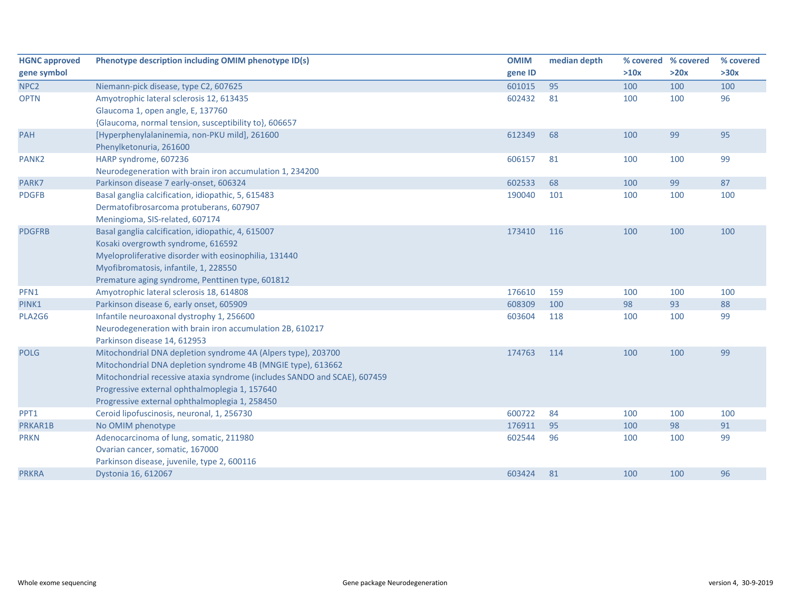| <b>HGNC approved</b> | Phenotype description including OMIM phenotype ID(s)                      | <b>OMIM</b> | median depth | % covered % covered |      | % covered |
|----------------------|---------------------------------------------------------------------------|-------------|--------------|---------------------|------|-----------|
| gene symbol          |                                                                           | gene ID     |              | >10x                | >20x | >30x      |
| NPC <sub>2</sub>     | Niemann-pick disease, type C2, 607625                                     | 601015      | 95           | 100                 | 100  | 100       |
| <b>OPTN</b>          | Amyotrophic lateral sclerosis 12, 613435                                  | 602432      | 81           | 100                 | 100  | 96        |
|                      | Glaucoma 1, open angle, E, 137760                                         |             |              |                     |      |           |
|                      | {Glaucoma, normal tension, susceptibility to}, 606657                     |             |              |                     |      |           |
| PAH                  | [Hyperphenylalaninemia, non-PKU mild], 261600                             | 612349      | 68           | 100                 | 99   | 95        |
|                      | Phenylketonuria, 261600                                                   |             |              |                     |      |           |
| PANK <sub>2</sub>    | HARP syndrome, 607236                                                     | 606157      | 81           | 100                 | 100  | 99        |
|                      | Neurodegeneration with brain iron accumulation 1, 234200                  |             |              |                     |      |           |
| PARK7                | Parkinson disease 7 early-onset, 606324                                   | 602533      | 68           | 100                 | 99   | 87        |
| <b>PDGFB</b>         | Basal ganglia calcification, idiopathic, 5, 615483                        | 190040      | 101          | 100                 | 100  | 100       |
|                      | Dermatofibrosarcoma protuberans, 607907                                   |             |              |                     |      |           |
|                      | Meningioma, SIS-related, 607174                                           |             |              |                     |      |           |
| <b>PDGFRB</b>        | Basal ganglia calcification, idiopathic, 4, 615007                        | 173410      | 116          | 100                 | 100  | 100       |
|                      | Kosaki overgrowth syndrome, 616592                                        |             |              |                     |      |           |
|                      | Myeloproliferative disorder with eosinophilia, 131440                     |             |              |                     |      |           |
|                      | Myofibromatosis, infantile, 1, 228550                                     |             |              |                     |      |           |
|                      | Premature aging syndrome, Penttinen type, 601812                          |             |              |                     |      |           |
| PFN1                 | Amyotrophic lateral sclerosis 18, 614808                                  | 176610      | 159          | 100                 | 100  | 100       |
| PINK1                | Parkinson disease 6, early onset, 605909                                  | 608309      | 100          | 98                  | 93   | 88        |
| PLA2G6               | Infantile neuroaxonal dystrophy 1, 256600                                 | 603604      | 118          | 100                 | 100  | 99        |
|                      | Neurodegeneration with brain iron accumulation 2B, 610217                 |             |              |                     |      |           |
|                      | Parkinson disease 14, 612953                                              |             |              |                     |      |           |
| <b>POLG</b>          | Mitochondrial DNA depletion syndrome 4A (Alpers type), 203700             | 174763      | 114          | 100                 | 100  | 99        |
|                      | Mitochondrial DNA depletion syndrome 4B (MNGIE type), 613662              |             |              |                     |      |           |
|                      | Mitochondrial recessive ataxia syndrome (includes SANDO and SCAE), 607459 |             |              |                     |      |           |
|                      | Progressive external ophthalmoplegia 1, 157640                            |             |              |                     |      |           |
|                      | Progressive external ophthalmoplegia 1, 258450                            |             |              |                     |      |           |
| PPT1                 | Ceroid lipofuscinosis, neuronal, 1, 256730                                | 600722      | 84           | 100                 | 100  | 100       |
| PRKAR1B              | No OMIM phenotype                                                         | 176911      | 95           | 100                 | 98   | 91        |
| <b>PRKN</b>          | Adenocarcinoma of lung, somatic, 211980                                   | 602544      | 96           | 100                 | 100  | 99        |
|                      | Ovarian cancer, somatic, 167000                                           |             |              |                     |      |           |
|                      | Parkinson disease, juvenile, type 2, 600116                               |             |              |                     |      |           |
| <b>PRKRA</b>         | Dystonia 16, 612067                                                       | 603424      | 81           | 100                 | 100  | 96        |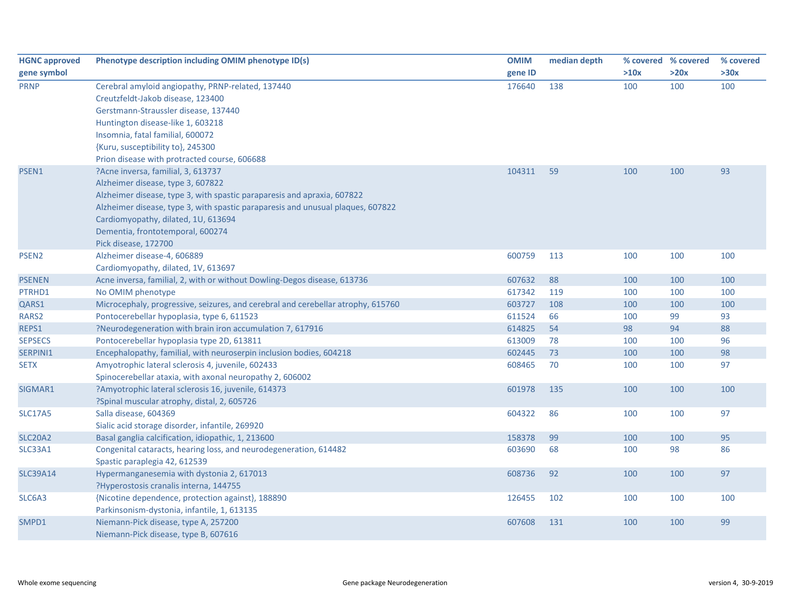| <b>HGNC approved</b> | Phenotype description including OMIM phenotype ID(s)                             | <b>OMIM</b> | median depth |      | % covered % covered | % covered |
|----------------------|----------------------------------------------------------------------------------|-------------|--------------|------|---------------------|-----------|
| gene symbol          |                                                                                  | gene ID     |              | >10x | >20x                | >30x      |
| <b>PRNP</b>          | Cerebral amyloid angiopathy, PRNP-related, 137440                                | 176640      | 138          | 100  | 100                 | 100       |
|                      | Creutzfeldt-Jakob disease, 123400                                                |             |              |      |                     |           |
|                      | Gerstmann-Straussler disease, 137440                                             |             |              |      |                     |           |
|                      | Huntington disease-like 1, 603218                                                |             |              |      |                     |           |
|                      | Insomnia, fatal familial, 600072                                                 |             |              |      |                     |           |
|                      | {Kuru, susceptibility to}, 245300                                                |             |              |      |                     |           |
|                      | Prion disease with protracted course, 606688                                     |             |              |      |                     |           |
| PSEN1                | ?Acne inversa, familial, 3, 613737                                               | 104311      | 59           | 100  | 100                 | 93        |
|                      | Alzheimer disease, type 3, 607822                                                |             |              |      |                     |           |
|                      | Alzheimer disease, type 3, with spastic paraparesis and apraxia, 607822          |             |              |      |                     |           |
|                      | Alzheimer disease, type 3, with spastic paraparesis and unusual plaques, 607822  |             |              |      |                     |           |
|                      | Cardiomyopathy, dilated, 1U, 613694                                              |             |              |      |                     |           |
|                      | Dementia, frontotemporal, 600274                                                 |             |              |      |                     |           |
|                      | Pick disease, 172700                                                             |             |              |      |                     |           |
| PSEN <sub>2</sub>    | Alzheimer disease-4, 606889                                                      | 600759      | 113          | 100  | 100                 | 100       |
|                      | Cardiomyopathy, dilated, 1V, 613697                                              |             |              |      |                     |           |
| <b>PSENEN</b>        | Acne inversa, familial, 2, with or without Dowling-Degos disease, 613736         | 607632      | 88           | 100  | 100                 | 100       |
| PTRHD1               | No OMIM phenotype                                                                | 617342      | 119          | 100  | 100                 | 100       |
| QARS1                | Microcephaly, progressive, seizures, and cerebral and cerebellar atrophy, 615760 | 603727      | 108          | 100  | 100                 | 100       |
| RARS2                | Pontocerebellar hypoplasia, type 6, 611523                                       | 611524      | 66           | 100  | 99                  | 93        |
| REPS1                | ?Neurodegeneration with brain iron accumulation 7, 617916                        | 614825      | 54           | 98   | 94                  | 88        |
| <b>SEPSECS</b>       | Pontocerebellar hypoplasia type 2D, 613811                                       | 613009      | 78           | 100  | 100                 | 96        |
| SERPINI1             | Encephalopathy, familial, with neuroserpin inclusion bodies, 604218              | 602445      | 73           | 100  | 100                 | 98        |
| <b>SETX</b>          | Amyotrophic lateral sclerosis 4, juvenile, 602433                                | 608465      | 70           | 100  | 100                 | 97        |
|                      | Spinocerebellar ataxia, with axonal neuropathy 2, 606002                         |             |              |      |                     |           |
| SIGMAR1              | ?Amyotrophic lateral sclerosis 16, juvenile, 614373                              | 601978      | 135          | 100  | 100                 | 100       |
|                      | ?Spinal muscular atrophy, distal, 2, 605726                                      |             |              |      |                     |           |
| <b>SLC17A5</b>       | Salla disease, 604369                                                            | 604322      | 86           | 100  | 100                 | 97        |
|                      | Sialic acid storage disorder, infantile, 269920                                  |             |              |      |                     |           |
| <b>SLC20A2</b>       | Basal ganglia calcification, idiopathic, 1, 213600                               | 158378      | 99           | 100  | 100                 | 95        |
| SLC33A1              | Congenital cataracts, hearing loss, and neurodegeneration, 614482                | 603690      | 68           | 100  | 98                  | 86        |
|                      | Spastic paraplegia 42, 612539                                                    |             |              |      |                     |           |
| <b>SLC39A14</b>      | Hypermanganesemia with dystonia 2, 617013                                        | 608736      | 92           | 100  | 100                 | 97        |
|                      | ?Hyperostosis cranalis interna, 144755                                           |             |              |      |                     |           |
| SLC6A3               | {Nicotine dependence, protection against}, 188890                                | 126455      | 102          | 100  | 100                 | 100       |
|                      | Parkinsonism-dystonia, infantile, 1, 613135                                      |             |              |      |                     |           |
| SMPD1                | Niemann-Pick disease, type A, 257200                                             | 607608      | 131          | 100  | 100                 | 99        |
|                      | Niemann-Pick disease, type B, 607616                                             |             |              |      |                     |           |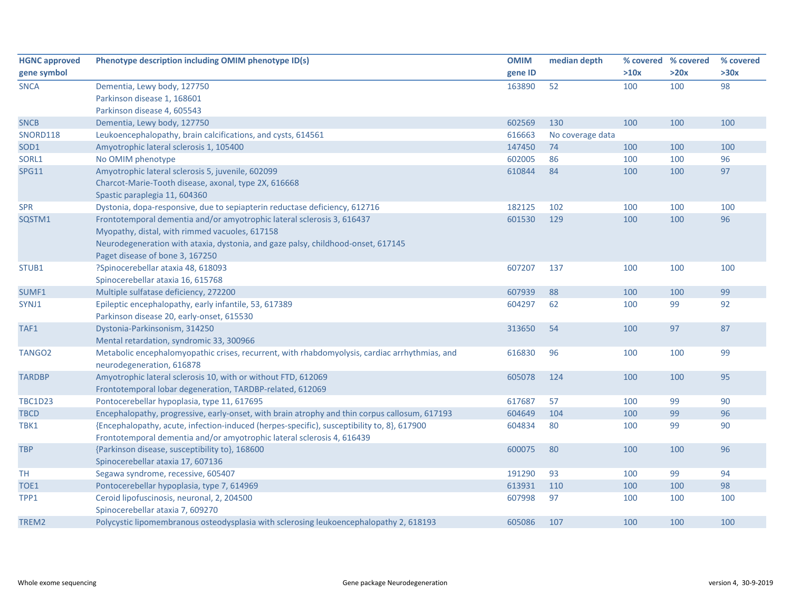| <b>HGNC approved</b> | Phenotype description including OMIM phenotype ID(s)                                          | <b>OMIM</b> | median depth     |      | % covered % covered | % covered |
|----------------------|-----------------------------------------------------------------------------------------------|-------------|------------------|------|---------------------|-----------|
| gene symbol          |                                                                                               | gene ID     |                  | >10x | >20x                | >30x      |
| <b>SNCA</b>          | Dementia, Lewy body, 127750                                                                   | 163890      | 52               | 100  | 100                 | 98        |
|                      | Parkinson disease 1, 168601                                                                   |             |                  |      |                     |           |
|                      | Parkinson disease 4, 605543                                                                   |             |                  |      |                     |           |
| <b>SNCB</b>          | Dementia, Lewy body, 127750                                                                   | 602569      | 130              | 100  | 100                 | 100       |
| SNORD118             | Leukoencephalopathy, brain calcifications, and cysts, 614561                                  | 616663      | No coverage data |      |                     |           |
| SOD <sub>1</sub>     | Amyotrophic lateral sclerosis 1, 105400                                                       | 147450      | 74               | 100  | 100                 | 100       |
| SORL1                | No OMIM phenotype                                                                             | 602005      | 86               | 100  | 100                 | 96        |
| <b>SPG11</b>         | Amyotrophic lateral sclerosis 5, juvenile, 602099                                             | 610844      | 84               | 100  | 100                 | 97        |
|                      | Charcot-Marie-Tooth disease, axonal, type 2X, 616668                                          |             |                  |      |                     |           |
|                      | Spastic paraplegia 11, 604360                                                                 |             |                  |      |                     |           |
| <b>SPR</b>           | Dystonia, dopa-responsive, due to sepiapterin reductase deficiency, 612716                    | 182125      | 102              | 100  | 100                 | 100       |
| SQSTM1               | Frontotemporal dementia and/or amyotrophic lateral sclerosis 3, 616437                        | 601530      | 129              | 100  | 100                 | 96        |
|                      | Myopathy, distal, with rimmed vacuoles, 617158                                                |             |                  |      |                     |           |
|                      | Neurodegeneration with ataxia, dystonia, and gaze palsy, childhood-onset, 617145              |             |                  |      |                     |           |
|                      | Paget disease of bone 3, 167250                                                               |             |                  |      |                     |           |
| STUB1                | ?Spinocerebellar ataxia 48, 618093                                                            | 607207      | 137              | 100  | 100                 | 100       |
|                      | Spinocerebellar ataxia 16, 615768                                                             |             |                  |      |                     |           |
| SUMF1                | Multiple sulfatase deficiency, 272200                                                         | 607939      | 88               | 100  | 100                 | 99        |
| SYNJ1                | Epileptic encephalopathy, early infantile, 53, 617389                                         | 604297      | 62               | 100  | 99                  | 92        |
|                      | Parkinson disease 20, early-onset, 615530                                                     |             |                  |      |                     |           |
| TAF1                 | Dystonia-Parkinsonism, 314250                                                                 | 313650      | 54               | 100  | 97                  | 87        |
|                      | Mental retardation, syndromic 33, 300966                                                      |             |                  |      |                     |           |
| TANGO <sub>2</sub>   | Metabolic encephalomyopathic crises, recurrent, with rhabdomyolysis, cardiac arrhythmias, and | 616830      | 96               | 100  | 100                 | 99        |
|                      | neurodegeneration, 616878                                                                     |             |                  |      |                     |           |
| <b>TARDBP</b>        | Amyotrophic lateral sclerosis 10, with or without FTD, 612069                                 | 605078      | 124              | 100  | 100                 | 95        |
|                      | Frontotemporal lobar degeneration, TARDBP-related, 612069                                     |             |                  |      |                     |           |
| <b>TBC1D23</b>       | Pontocerebellar hypoplasia, type 11, 617695                                                   | 617687      | 57               | 100  | 99                  | 90        |
| <b>TBCD</b>          | Encephalopathy, progressive, early-onset, with brain atrophy and thin corpus callosum, 617193 | 604649      | 104              | 100  | 99                  | 96        |
| TBK1                 | {Encephalopathy, acute, infection-induced (herpes-specific), susceptibility to, 8}, 617900    | 604834      | 80               | 100  | 99                  | 90        |
|                      | Frontotemporal dementia and/or amyotrophic lateral sclerosis 4, 616439                        |             |                  |      |                     |           |
| <b>TBP</b>           | {Parkinson disease, susceptibility to}, 168600                                                | 600075      | 80               | 100  | 100                 | 96        |
|                      | Spinocerebellar ataxia 17, 607136                                                             |             |                  |      |                     |           |
| <b>TH</b>            | Segawa syndrome, recessive, 605407                                                            | 191290      | 93               | 100  | 99                  | 94        |
| TOE1                 | Pontocerebellar hypoplasia, type 7, 614969                                                    | 613931      | 110              | 100  | 100                 | 98        |
| TPP1                 | Ceroid lipofuscinosis, neuronal, 2, 204500                                                    | 607998      | 97               | 100  | 100                 | 100       |
|                      | Spinocerebellar ataxia 7, 609270                                                              |             |                  |      |                     |           |
| TREM2                | Polycystic lipomembranous osteodysplasia with sclerosing leukoencephalopathy 2, 618193        | 605086      | 107              | 100  | 100                 | 100       |